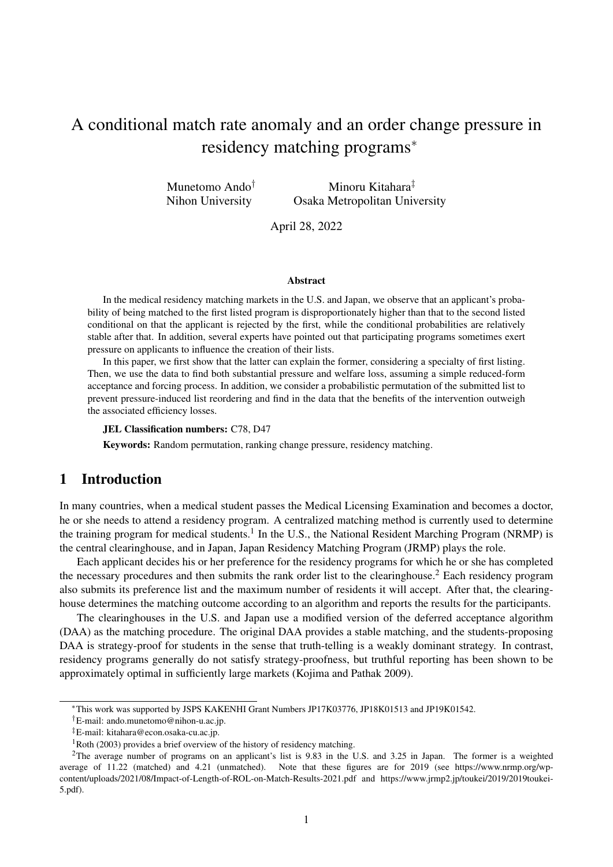# A conditional match rate anomaly and an order change pressure in residency matching programs*<sup>∗</sup>*

Munetomo Ando*†* Nihon University Minoru Kitahara*‡* Osaka Metropolitan University

April 28, 2022

#### Abstract

In the medical residency matching markets in the U.S. and Japan, we observe that an applicant's probability of being matched to the first listed program is disproportionately higher than that to the second listed conditional on that the applicant is rejected by the first, while the conditional probabilities are relatively stable after that. In addition, several experts have pointed out that participating programs sometimes exert pressure on applicants to influence the creation of their lists.

In this paper, we first show that the latter can explain the former, considering a specialty of first listing. Then, we use the data to find both substantial pressure and welfare loss, assuming a simple reduced-form acceptance and forcing process. In addition, we consider a probabilistic permutation of the submitted list to prevent pressure-induced list reordering and find in the data that the benefits of the intervention outweigh the associated efficiency losses.

#### JEL Classification numbers: C78, D47

Keywords: Random permutation, ranking change pressure, residency matching.

## 1 Introduction

In many countries, when a medical student passes the Medical Licensing Examination and becomes a doctor, he or she needs to attend a residency program. A centralized matching method is currently used to determine the training program for medical students.<sup>1</sup> In the U.S., the National Resident Marching Program (NRMP) is the central clearinghouse, and in Japan, Japan Residency Matching Program (JRMP) plays the role.

Each applicant decides his or her preference for the residency programs for which he or she has completed the necessary procedures and then submits the rank order list to the clearinghouse.<sup>2</sup> Each residency program also submits its preference list and the maximum number of residents it will accept. After that, the clearinghouse determines the matching outcome according to an algorithm and reports the results for the participants.

The clearinghouses in the U.S. and Japan use a modified version of the deferred acceptance algorithm (DAA) as the matching procedure. The original DAA provides a stable matching, and the students-proposing DAA is strategy-proof for students in the sense that truth-telling is a weakly dominant strategy. In contrast, residency programs generally do not satisfy strategy-proofness, but truthful reporting has been shown to be approximately optimal in sufficiently large markets (Kojima and Pathak 2009).

*<sup>∗</sup>*This work was supported by JSPS KAKENHI Grant Numbers JP17K03776, JP18K01513 and JP19K01542.

*<sup>†</sup>*E-mail: ando.munetomo@nihon-u.ac.jp.

*<sup>‡</sup>*E-mail: kitahara@econ.osaka-cu.ac.jp.

 $1$ Roth (2003) provides a brief overview of the history of residency matching.

<sup>&</sup>lt;sup>2</sup>The average number of programs on an applicant's list is 9.83 in the U.S. and 3.25 in Japan. The former is a weighted average of 11.22 (matched) and 4.21 (unmatched). Note that these figures are for 2019 (see https://www.nrmp.org/wpcontent/uploads/2021/08/Impact-of-Length-of-ROL-on-Match-Results-2021.pdf and https://www.jrmp2.jp/toukei/2019/2019toukei-5.pdf).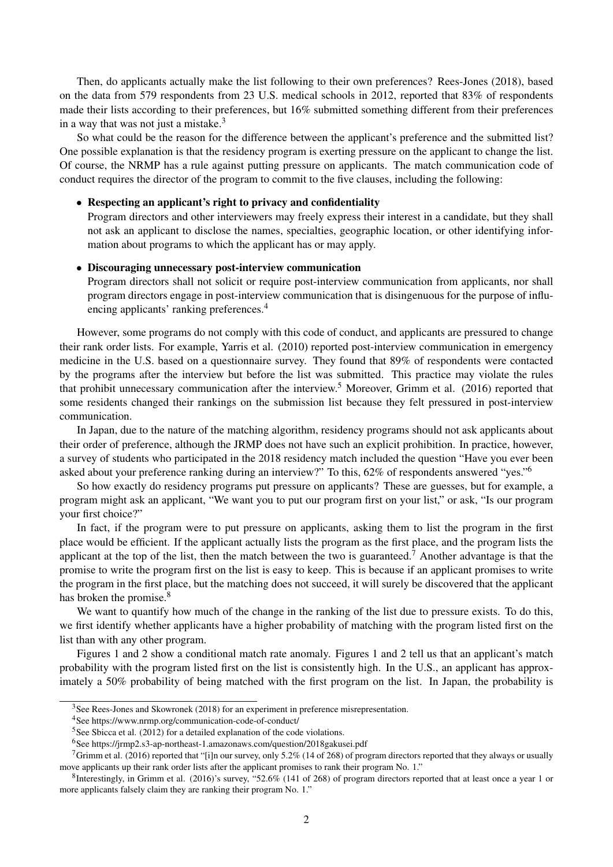Then, do applicants actually make the list following to their own preferences? Rees-Jones (2018), based on the data from 579 respondents from 23 U.S. medical schools in 2012, reported that 83% of respondents made their lists according to their preferences, but 16% submitted something different from their preferences in a way that was not just a mistake.<sup>3</sup>

So what could be the reason for the difference between the applicant's preference and the submitted list? One possible explanation is that the residency program is exerting pressure on the applicant to change the list. Of course, the NRMP has a rule against putting pressure on applicants. The match communication code of conduct requires the director of the program to commit to the five clauses, including the following:

#### *•* Respecting an applicant's right to privacy and confidentiality

Program directors and other interviewers may freely express their interest in a candidate, but they shall not ask an applicant to disclose the names, specialties, geographic location, or other identifying information about programs to which the applicant has or may apply.

#### *•* Discouraging unnecessary post-interview communication

Program directors shall not solicit or require post-interview communication from applicants, nor shall program directors engage in post-interview communication that is disingenuous for the purpose of influencing applicants' ranking preferences.<sup>4</sup>

However, some programs do not comply with this code of conduct, and applicants are pressured to change their rank order lists. For example, Yarris et al. (2010) reported post-interview communication in emergency medicine in the U.S. based on a questionnaire survey. They found that 89% of respondents were contacted by the programs after the interview but before the list was submitted. This practice may violate the rules that prohibit unnecessary communication after the interview.<sup>5</sup> Moreover, Grimm et al. (2016) reported that some residents changed their rankings on the submission list because they felt pressured in post-interview communication.

In Japan, due to the nature of the matching algorithm, residency programs should not ask applicants about their order of preference, although the JRMP does not have such an explicit prohibition. In practice, however, a survey of students who participated in the 2018 residency match included the question "Have you ever been asked about your preference ranking during an interview?" To this, 62% of respondents answered "yes."<sup>6</sup>

So how exactly do residency programs put pressure on applicants? These are guesses, but for example, a program might ask an applicant, "We want you to put our program first on your list," or ask, "Is our program your first choice?"

In fact, if the program were to put pressure on applicants, asking them to list the program in the first place would be efficient. If the applicant actually lists the program as the first place, and the program lists the applicant at the top of the list, then the match between the two is guaranteed.<sup>7</sup> Another advantage is that the promise to write the program first on the list is easy to keep. This is because if an applicant promises to write the program in the first place, but the matching does not succeed, it will surely be discovered that the applicant has broken the promise.<sup>8</sup>

We want to quantify how much of the change in the ranking of the list due to pressure exists. To do this, we first identify whether applicants have a higher probability of matching with the program listed first on the list than with any other program.

Figures 1 and 2 show a conditional match rate anomaly. Figures 1 and 2 tell us that an applicant's match probability with the program listed first on the list is consistently high. In the U.S., an applicant has approximately a 50% probability of being matched with the first program on the list. In Japan, the probability is

<sup>&</sup>lt;sup>3</sup>See Rees-Jones and Skowronek (2018) for an experiment in preference misrepresentation.

<sup>4</sup>See https://www.nrmp.org/communication-code-of-conduct/

<sup>5</sup>See Sbicca et al. (2012) for a detailed explanation of the code violations.

<sup>6</sup>See https://jrmp2.s3-ap-northeast-1.amazonaws.com/question/2018gakusei.pdf

<sup>&</sup>lt;sup>7</sup>Grimm et al. (2016) reported that "[i]n our survey, only 5.2% (14 of 268) of program directors reported that they always or usually move applicants up their rank order lists after the applicant promises to rank their program No. 1."

 ${}^{8}$ Interestingly, in Grimm et al. (2016)'s survey, "52.6% (141 of 268) of program directors reported that at least once a year 1 or more applicants falsely claim they are ranking their program No. 1."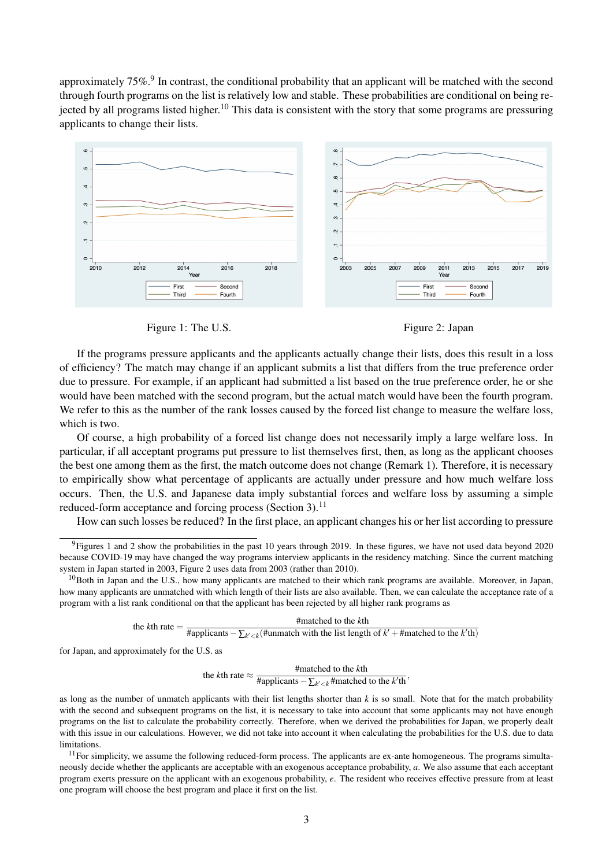approximately 75%.<sup>9</sup> In contrast, the conditional probability that an applicant will be matched with the second through fourth programs on the list is relatively low and stable. These probabilities are conditional on being rejected by all programs listed higher.<sup>10</sup> This data is consistent with the story that some programs are pressuring applicants to change their lists.



Figure 1: The U.S. Figure 2: Japan

If the programs pressure applicants and the applicants actually change their lists, does this result in a loss of efficiency? The match may change if an applicant submits a list that differs from the true preference order due to pressure. For example, if an applicant had submitted a list based on the true preference order, he or she would have been matched with the second program, but the actual match would have been the fourth program. We refer to this as the number of the rank losses caused by the forced list change to measure the welfare loss, which is two.

Of course, a high probability of a forced list change does not necessarily imply a large welfare loss. In particular, if all acceptant programs put pressure to list themselves first, then, as long as the applicant chooses the best one among them as the first, the match outcome does not change (Remark 1). Therefore, it is necessary to empirically show what percentage of applicants are actually under pressure and how much welfare loss occurs. Then, the U.S. and Japanese data imply substantial forces and welfare loss by assuming a simple reduced-form acceptance and forcing process (Section 3).<sup>11</sup>

How can such losses be reduced? In the first place, an applicant changes his or her list according to pressure

the  $k$ <sup>th</sup> rate  $=$ #matched to the *k*th #applicants*−*∑*<sup>k</sup> ′<k* (#unmatch with the list length of *k ′* +#matched to the *k ′* th)

for Japan, and approximately for the U.S. as

the *k*th rate  $\approx$  #matched to the *k*th  $\frac{1}{2}$  #applicants  $-\sum_{k' < k}$  #matched to the *k*<sup>'</sup>th</sub>,

as long as the number of unmatch applicants with their list lengths shorter than *k* is so small. Note that for the match probability with the second and subsequent programs on the list, it is necessary to take into account that some applicants may not have enough programs on the list to calculate the probability correctly. Therefore, when we derived the probabilities for Japan, we properly dealt with this issue in our calculations. However, we did not take into account it when calculating the probabilities for the U.S. due to data **limitations** 

 $11$  For simplicity, we assume the following reduced-form process. The applicants are ex-ante homogeneous. The programs simultaneously decide whether the applicants are acceptable with an exogenous acceptance probability, *a*. We also assume that each acceptant program exerts pressure on the applicant with an exogenous probability, *e*. The resident who receives effective pressure from at least one program will choose the best program and place it first on the list.

 $9$ Figures 1 and 2 show the probabilities in the past 10 years through 2019. In these figures, we have not used data beyond 2020 because COVID-19 may have changed the way programs interview applicants in the residency matching. Since the current matching system in Japan started in 2003, Figure 2 uses data from 2003 (rather than 2010).

 $10$ Both in Japan and the U.S., how many applicants are matched to their which rank programs are available. Moreover, in Japan, how many applicants are unmatched with which length of their lists are also available. Then, we can calculate the acceptance rate of a program with a list rank conditional on that the applicant has been rejected by all higher rank programs as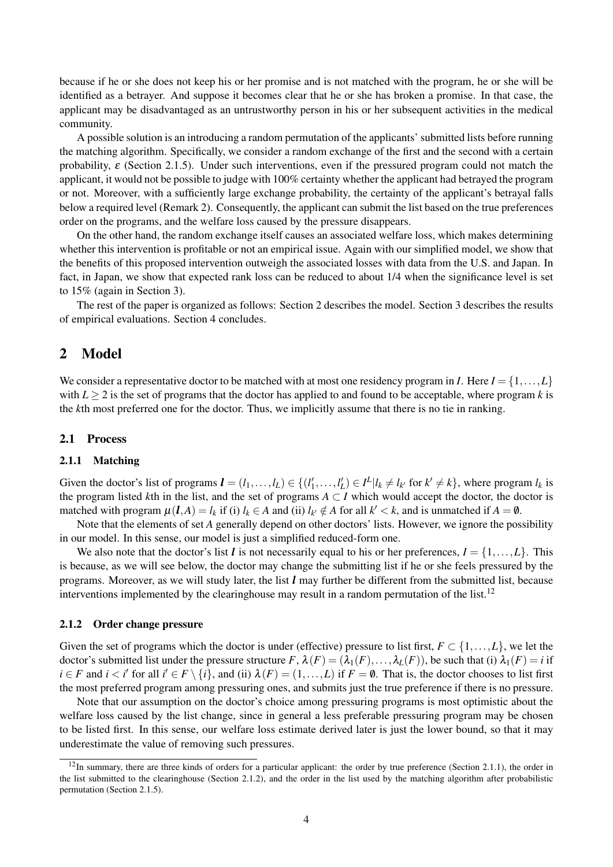because if he or she does not keep his or her promise and is not matched with the program, he or she will be identified as a betrayer. And suppose it becomes clear that he or she has broken a promise. In that case, the applicant may be disadvantaged as an untrustworthy person in his or her subsequent activities in the medical community.

A possible solution is an introducing a random permutation of the applicants' submitted lists before running the matching algorithm. Specifically, we consider a random exchange of the first and the second with a certain probability,  $\varepsilon$  (Section 2.1.5). Under such interventions, even if the pressured program could not match the applicant, it would not be possible to judge with 100% certainty whether the applicant had betrayed the program or not. Moreover, with a sufficiently large exchange probability, the certainty of the applicant's betrayal falls below a required level (Remark 2). Consequently, the applicant can submit the list based on the true preferences order on the programs, and the welfare loss caused by the pressure disappears.

On the other hand, the random exchange itself causes an associated welfare loss, which makes determining whether this intervention is profitable or not an empirical issue. Again with our simplified model, we show that the benefits of this proposed intervention outweigh the associated losses with data from the U.S. and Japan. In fact, in Japan, we show that expected rank loss can be reduced to about 1/4 when the significance level is set to 15% (again in Section 3).

The rest of the paper is organized as follows: Section 2 describes the model. Section 3 describes the results of empirical evaluations. Section 4 concludes.

## 2 Model

We consider a representative doctor to be matched with at most one residency program in *I*. Here  $I = \{1, \ldots, L\}$ with  $L \geq 2$  is the set of programs that the doctor has applied to and found to be acceptable, where program *k* is the *k*th most preferred one for the doctor. Thus, we implicitly assume that there is no tie in ranking.

#### 2.1 Process

#### 2.1.1 Matching

Given the doctor's list of programs  $\mathbf{l} = (l_1, \ldots, l_L) \in \{(l'_1, \ldots, l'_L) \in I^L | l_k \neq l_{k'} \text{ for } k' \neq k\}$ , where program  $l_k$  is the program listed *k*th in the list, and the set of programs  $A \subset I$  which would accept the doctor, the doctor is matched with program  $\mu(l, A) = l_k$  if (i)  $l_k \in A$  and (ii)  $l_{k'} \notin A$  for all  $k' < k$ , and is unmatched if  $A = \emptyset$ .

Note that the elements of set *A* generally depend on other doctors' lists. However, we ignore the possibility in our model. In this sense, our model is just a simplified reduced-form one.

We also note that the doctor's list *l* is not necessarily equal to his or her preferences,  $I = \{1, \ldots, L\}$ . This is because, as we will see below, the doctor may change the submitting list if he or she feels pressured by the programs. Moreover, as we will study later, the list *l* may further be different from the submitted list, because interventions implemented by the clearinghouse may result in a random permutation of the list.<sup>12</sup>

#### 2.1.2 Order change pressure

Given the set of programs which the doctor is under (effective) pressure to list first,  $F \subset \{1, \ldots, L\}$ , we let the doctor's submitted list under the pressure structure  $F$ ,  $\lambda(F) = (\lambda_1(F), \dots, \lambda_L(F))$ , be such that (i)  $\lambda_1(F) = i$  if  $i \in F$  and  $i < i'$  for all  $i' \in F \setminus \{i\}$ , and (ii)  $\lambda(F) = (1, \dots, L)$  if  $F = \emptyset$ . That is, the doctor chooses to list first the most preferred program among pressuring ones, and submits just the true preference if there is no pressure.

Note that our assumption on the doctor's choice among pressuring programs is most optimistic about the welfare loss caused by the list change, since in general a less preferable pressuring program may be chosen to be listed first. In this sense, our welfare loss estimate derived later is just the lower bound, so that it may underestimate the value of removing such pressures.

 $12$ In summary, there are three kinds of orders for a particular applicant: the order by true preference (Section 2.1.1), the order in the list submitted to the clearinghouse (Section 2.1.2), and the order in the list used by the matching algorithm after probabilistic permutation (Section 2.1.5).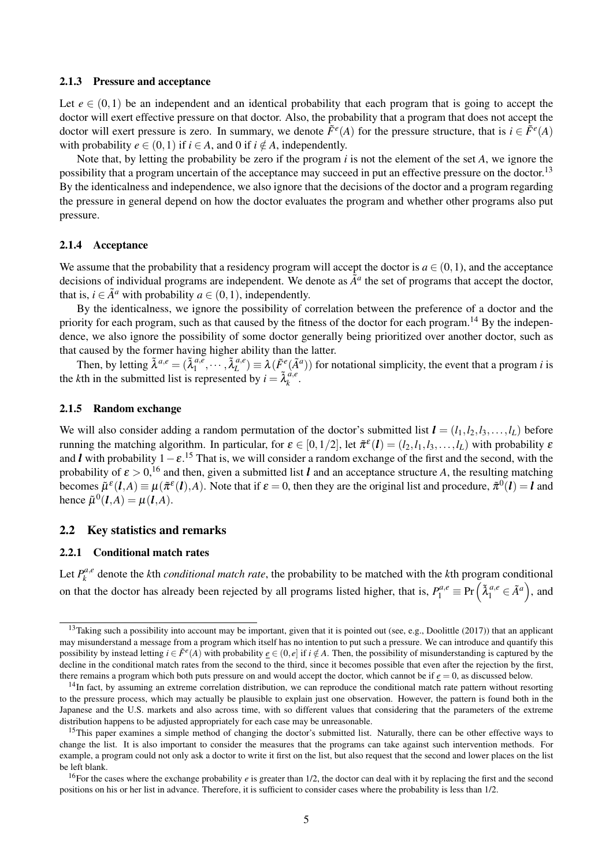#### 2.1.3 Pressure and acceptance

Let  $e \in (0,1)$  be an independent and an identical probability that each program that is going to accept the doctor will exert effective pressure on that doctor. Also, the probability that a program that does not accept the doctor will exert pressure is zero. In summary, we denote  $\tilde{F}^e(A)$  for the pressure structure, that is  $i \in \tilde{F}^e(A)$ with probability  $e \in (0,1)$  if  $i \in A$ , and 0 if  $i \notin A$ , independently.

Note that, by letting the probability be zero if the program *i* is not the element of the set *A*, we ignore the possibility that a program uncertain of the acceptance may succeed in put an effective pressure on the doctor.<sup>13</sup> By the identicalness and independence, we also ignore that the decisions of the doctor and a program regarding the pressure in general depend on how the doctor evaluates the program and whether other programs also put pressure.

#### 2.1.4 Acceptance

We assume that the probability that a residency program will accept the doctor is  $a \in (0, 1)$ , and the acceptance decisions of individual programs are independent. We denote as  $\tilde{A}^a$  the set of programs that accept the doctor, that is,  $i \in \tilde{A}^a$  with probability  $a \in (0,1)$ , independently.

By the identicalness, we ignore the possibility of correlation between the preference of a doctor and the priority for each program, such as that caused by the fitness of the doctor for each program.<sup>14</sup> By the independence, we also ignore the possibility of some doctor generally being prioritized over another doctor, such as that caused by the former having higher ability than the latter.

Then, by letting  $\tilde{\lambda}^{a,e} = (\tilde{\lambda}_1^{a,e})$  $a, e_1, \ldots, \tilde{\lambda}_L^{a,e}$  $L^{a,e}$ )  $\equiv \lambda(\tilde{F}^e(\tilde{A}^a))$  for notational simplicity, the event that a program *i* is the *k*th in the submitted list is represented by  $i = \tilde{\lambda}_k^{a,e}$ *k* .

#### 2.1.5 Random exchange

We will also consider adding a random permutation of the doctor's submitted list  $\mathbf{l} = (l_1, l_2, l_3, \ldots, l_L)$  before running the matching algorithm. In particular, for  $\varepsilon \in [0,1/2]$ , let  $\tilde{\pi}^{\varepsilon}(\bm{l}) = (l_2,l_1,l_3,\ldots,l_L)$  with probability  $\varepsilon$ and *l* with probability 1*−*ε. <sup>15</sup> That is, we will consider a random exchange of the first and the second, with the probability of  $\varepsilon > 0$ , <sup>16</sup> and then, given a submitted list *l* and an acceptance structure *A*, the resulting matching becomes  $\tilde{\mu}^{\varepsilon}(l,A) \equiv \mu(\tilde{\pi}^{\varepsilon}(l),A)$ . Note that if  $\varepsilon = 0$ , then they are the original list and procedure,  $\tilde{\pi}^0(l) = l$  and hence  $\tilde{\mu}^0(\bm{l},A) = \mu(\bm{l},A)$ .

### 2.2 Key statistics and remarks

#### 2.2.1 Conditional match rates

Let  $P_k^{a,e}$ *k* denote the *k*th *conditional match rate*, the probability to be matched with the *k*th program conditional on that the doctor has already been rejected by all programs listed higher, that is,  $P_1^{a,e} \equiv Pr\left(\tilde{\lambda}_1^{a,e} \in \tilde{A}^a\right)$ , and

 $13$ Taking such a possibility into account may be important, given that it is pointed out (see, e.g., Doolittle (2017)) that an applicant may misunderstand a message from a program which itself has no intention to put such a pressure. We can introduce and quantify this possibility by instead letting  $i \in \tilde{F}^e(A)$  with probability  $\underline{e} \in (0, e]$  if  $i \notin A$ . Then, the possibility of misunderstanding is captured by the decline in the conditional match rates from the second to the third, since it becomes possible that even after the rejection by the first, there remains a program which both puts pressure on and would accept the doctor, which cannot be if  $e = 0$ , as discussed below.

<sup>&</sup>lt;sup>14</sup>In fact, by assuming an extreme correlation distribution, we can reproduce the conditional match rate pattern without resorting to the pressure process, which may actually be plausible to explain just one observation. However, the pattern is found both in the Japanese and the U.S. markets and also across time, with so different values that considering that the parameters of the extreme distribution happens to be adjusted appropriately for each case may be unreasonable.

<sup>&</sup>lt;sup>15</sup>This paper examines a simple method of changing the doctor's submitted list. Naturally, there can be other effective ways to change the list. It is also important to consider the measures that the programs can take against such intervention methods. For example, a program could not only ask a doctor to write it first on the list, but also request that the second and lower places on the list be left blank.

<sup>&</sup>lt;sup>16</sup>For the cases where the exchange probability  $e$  is greater than 1/2, the doctor can deal with it by replacing the first and the second positions on his or her list in advance. Therefore, it is sufficient to consider cases where the probability is less than 1/2.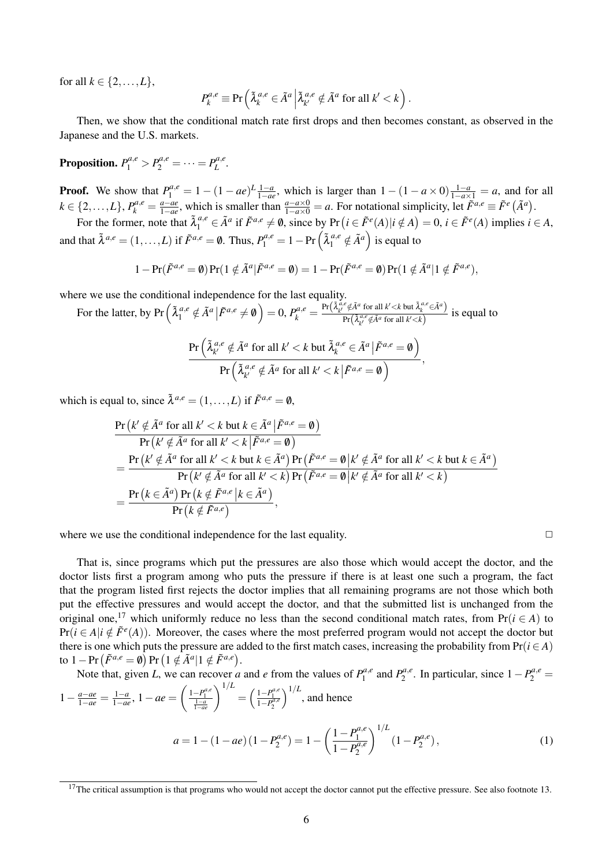for all  $k \in \{2, ..., L\}$ ,

$$
P_k^{a,e} \equiv \Pr\left(\tilde{\lambda}_k^{a,e} \in \tilde{A}^a \middle| \tilde{\lambda}_{k'}^{a,e} \notin \tilde{A}^a \text{ for all } k' < k\right).
$$

Then, we show that the conditional match rate first drops and then becomes constant, as observed in the Japanese and the U.S. markets.

Proposition.  $P_1^{a,e} > P_2^{a,e} = \cdots = P_L^{a,e}$ *L .*

**Proof.** We show that  $P_1^{a,e} = 1 - (1 - ae)^{L} \frac{1-a}{1-ae}$ , which is larger than  $1 - (1 - a \times 0) \frac{1-a}{1-ax} = a$ , and for all *k*  $\in \{2, \ldots, L\}$ ,  $P_k^{a,e} = \frac{a - ae}{1 - ae}$  $\frac{a-ae}{1-ae}$ , which is smaller than  $\frac{a-a\times 0}{1-a\times 0}=a$ . For notational simplicity, let  $\tilde{F}^{a,e}\equiv \tilde{F}^{e}(\tilde{A}^{a})$ .

For the former, note that  $\tilde{\lambda}_1^{a,e} \in \tilde{A}^a$  if  $\tilde{F}^{a,e} \neq \emptyset$ , since by  $Pr(i \in \tilde{F}^e(A)|i \notin A) = 0$ ,  $i \in \tilde{F}^e(A)$  implies  $i \in A$ , and that  $\tilde{\lambda}^{a,e} = (1,\ldots,L)$  if  $\tilde{F}^{a,e} = \emptyset$ . Thus,  $P_1^{a,e} = 1 - \Pr\left(\tilde{\lambda}_1^{a,e} \notin \tilde{A}^a\right)$  is equal to

 $1 - \Pr(\tilde{F}^{a,e} = \emptyset) \Pr(1 \notin \tilde{A}^a | \tilde{F}^{a,e} = \emptyset) = 1 - \Pr(\tilde{F}^{a,e} = \emptyset) \Pr(1 \notin \tilde{A}^a | 1 \notin \tilde{F}^{a,e}),$ 

where we use the conditional independence for the last equality.

For the latter, by Pr  $\left(\tilde{\lambda}_1^{a,e} \notin \tilde{A}^a \middle| \tilde{F}^{a,e} \neq \emptyset\right) = 0$ ,  $P_k^{a,e} = \frac{\Pr(\tilde{\lambda}_{k'}^{a,e} \notin \tilde{A}^a \text{ for all } k' < k \text{ but } \tilde{\lambda}_k^{a,e} \in \tilde{A}^a\right)}{Pr(\tilde{\lambda}_{n'}^{a,e} \notin \tilde{A}^a \text{ for all } k' < k \text{ but } \tilde{\lambda}_k^{a,e} \in \tilde{A}^a\right)}$  $\frac{\partial f}{\partial x} \left( \frac{\partial f}{\partial x} \cdot \phi \right)$  *A*  $\alpha$  for all  $k' < k$ ) is equal to

$$
\frac{\Pr\left(\tilde{\lambda}_{k'}^{a,e} \notin \tilde{A}^a \text{ for all } k' < k \text{ but } \tilde{\lambda}_{k}^{a,e} \in \tilde{A}^a \,|\tilde{F}^{a,e} = \emptyset\right)}{\Pr\left(\tilde{\lambda}_{k'}^{a,e} \notin \tilde{A}^a \text{ for all } k' < k \,|\tilde{F}^{a,e} = \emptyset\right)},
$$

which is equal to, since  $\tilde{\lambda}^{a,e} = (1, \ldots, L)$  if  $\tilde{F}^{a,e} = \emptyset$ ,

$$
\begin{split}\n&\frac{\Pr\left(k' \notin \tilde{A}^a \text{ for all } k' < k \text{ but } k \in \tilde{A}^a \, | \tilde{F}^{a,e} = \emptyset\right)}{\Pr\left(k' \notin \tilde{A}^a \text{ for all } k' < k \, | \tilde{F}^{a,e} = \emptyset\right)} \\
&= \frac{\Pr\left(k' \notin \tilde{A}^a \text{ for all } k' < k \text{ but } k \in \tilde{A}^a\right) \Pr\left(\tilde{F}^{a,e} = \emptyset \, | k' \notin \tilde{A}^a \text{ for all } k' < k \text{ but } k \in \tilde{A}^a\right)}{\Pr\left(k' \notin \tilde{A}^a \text{ for all } k' < k\right) \Pr\left(\tilde{F}^{a,e} = \emptyset \, | k' \notin \tilde{A}^a \text{ for all } k' < k\right)} \\
&= \frac{\Pr\left(k \in \tilde{A}^a\right) \Pr\left(k \notin \tilde{F}^{a,e} \, | k \in \tilde{A}^a\right)}{\Pr\left(k \notin \tilde{F}^{a,e}\right)},\n\end{split}
$$

where we use the conditional independence for the last equality.  $\Box$ 

That is, since programs which put the pressures are also those which would accept the doctor, and the doctor lists first a program among who puts the pressure if there is at least one such a program, the fact that the program listed first rejects the doctor implies that all remaining programs are not those which both put the effective pressures and would accept the doctor, and that the submitted list is unchanged from the original one,<sup>17</sup> which uniformly reduce no less than the second conditional match rates, from Pr( $i \in A$ ) to  $Pr(i \in A | i \notin \tilde{F}^e(A))$ . Moreover, the cases where the most preferred program would not accept the doctor but there is one which puts the pressure are added to the first match cases, increasing the probability from  $Pr(i \in A)$  $\text{to } 1 - \Pr\left(\tilde{F}^{a,e} = \emptyset\right) \Pr\left(1 \notin \tilde{A}^a | 1 \notin \tilde{F}^{a,e}\right).$ 

Note that, given *L*, we can recover *a* and *e* from the values of  $P_1^{a,e}$  $P_1^{a,e}$  and  $P_2^{a,e}$  $P_2^{a,e}$ . In particular, since  $1 - P_2^{a,e} =$  $1 - \frac{a - ae}{1 - ae} = \frac{1 - a}{1 - ae}$ 1*−ae* , 1*−ae* =  $\left(\frac{1-P_1^{a,e}}{\frac{1-a}{1-ae}}\right)^{1/L} = \left(\frac{1-P_1^{a,e}}{1-P_2^{a,e}}\right)$  $\int_0^{1/L}$ , and hence

$$
a = 1 - (1 - ae)(1 - P_2^{a,e}) = 1 - \left(\frac{1 - P_1^{a,e}}{1 - P_2^{a,e}}\right)^{1/L} (1 - P_2^{a,e}),\tag{1}
$$

 $17$ The critical assumption is that programs who would not accept the doctor cannot put the effective pressure. See also footnote 13.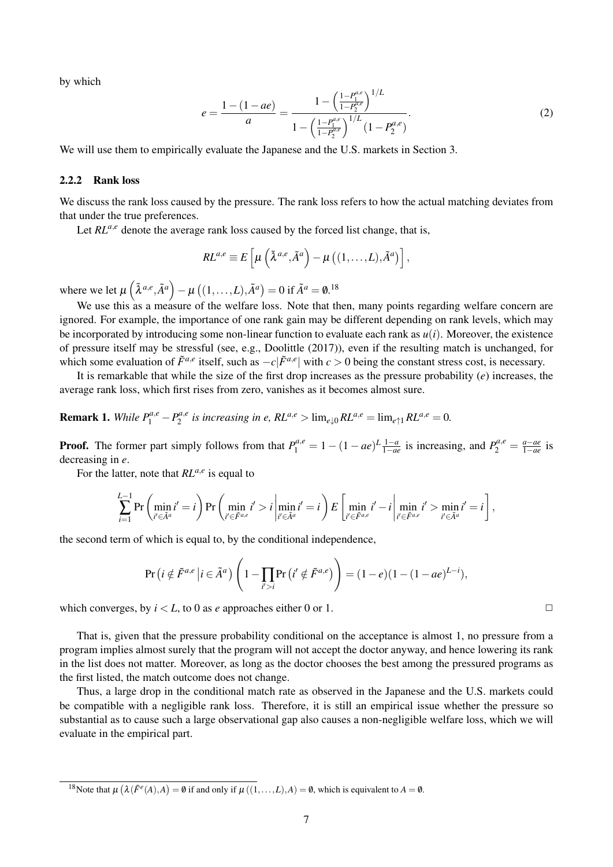by which

$$
e = \frac{1 - (1 - ae)}{a} = \frac{1 - \left(\frac{1 - P_1^{a,e}}{1 - P_2^{a,e}}\right)^{1/L}}{1 - \left(\frac{1 - P_1^{a,e}}{1 - P_2^{a,e}}\right)^{1/L} (1 - P_2^{a,e})}.
$$
(2)

We will use them to empirically evaluate the Japanese and the U.S. markets in Section 3.

#### 2.2.2 Rank loss

We discuss the rank loss caused by the pressure. The rank loss refers to how the actual matching deviates from that under the true preferences.

Let  $RL^{a,e}$  denote the average rank loss caused by the forced list change, that is,

$$
RL^{a,e} \equiv E\left[\mu\left(\tilde{\lambda}^{a,e},\tilde{A}^{a}\right)-\mu\left((1,\ldots,L),\tilde{A}^{a}\right)\right],
$$

where we let  $\mu\left(\tilde{\lambda}^{a,e}, \tilde{A}^{a}\right) - \mu\left((1,\ldots,L), \tilde{A}^{a}\right) = 0$  if  $\tilde{A}^{a} = \mathbf{0}.^{18}$ 

We use this as a measure of the welfare loss. Note that then, many points regarding welfare concern are ignored. For example, the importance of one rank gain may be different depending on rank levels, which may be incorporated by introducing some non-linear function to evaluate each rank as  $u(i)$ . Moreover, the existence of pressure itself may be stressful (see, e.g., Doolittle (2017)), even if the resulting match is unchanged, for which some evaluation of  $\tilde{F}^{a,e}$  itself, such as  $-c|\tilde{F}^{a,e}|$  with  $c > 0$  being the constant stress cost, is necessary.

It is remarkable that while the size of the first drop increases as the pressure probability (*e*) increases, the average rank loss, which first rises from zero, vanishes as it becomes almost sure.

**Remark 1.** *While*  $P_1^{a,e} - P_2^{a,e}$  $Z_2^{a,e}$  is increasing in e,  $RL^{a,e} > \lim_{e \downarrow 0} RL^{a,e} = \lim_{e \uparrow 1} RL^{a,e} = 0.$ 

**Proof.** The former part simply follows from that  $P_1^{a,e} = 1 - (1 - ae)^{L} \frac{1-a}{1-ae}$  is increasing, and  $P_2^{a,e} = \frac{a - ae}{1-ae}$ 1*−ae* is decreasing in *e*.

For the latter, note that *RLa,<sup>e</sup>* is equal to

$$
\sum_{i=1}^{L-1} \Pr\left(\min_{i' \in \tilde{A}^a} i'=i\right) \Pr\left(\min_{i' \in \tilde{F}^{a,e}} i'>i \left|\min_{i' \in \tilde{A}^a} i'=i\right\right) E\left[\min_{i' \in \tilde{F}^{a,e}} i'-i \left|\min_{i' \in \tilde{F}^{a,e}} i'>\min_{i' \in \tilde{A}^a} i'=i\right.\right],
$$

the second term of which is equal to, by the conditional independence,

$$
\Pr\left(i \notin \tilde{F}^{a,e} \middle| i \in \tilde{A}^a\right) \left(1 - \prod_{i' > i} \Pr\left(i' \notin \tilde{F}^{a,e}\right)\right) = (1 - e)(1 - (1 - ae)^{L-i}),
$$

which converges, by  $i < L$ , to 0 as *e* approaches either 0 or 1.  $\Box$ 

That is, given that the pressure probability conditional on the acceptance is almost 1, no pressure from a program implies almost surely that the program will not accept the doctor anyway, and hence lowering its rank in the list does not matter. Moreover, as long as the doctor chooses the best among the pressured programs as the first listed, the match outcome does not change.

Thus, a large drop in the conditional match rate as observed in the Japanese and the U.S. markets could be compatible with a negligible rank loss. Therefore, it is still an empirical issue whether the pressure so substantial as to cause such a large observational gap also causes a non-negligible welfare loss, which we will evaluate in the empirical part.

<sup>&</sup>lt;sup>18</sup>Note that  $\mu$  ( $\lambda$  ( $\tilde{F}^e(A)$ *,A*) = 0 if and only if  $\mu$  ((1,...,*L*)*,A*) = 0, which is equivalent to *A* = 0.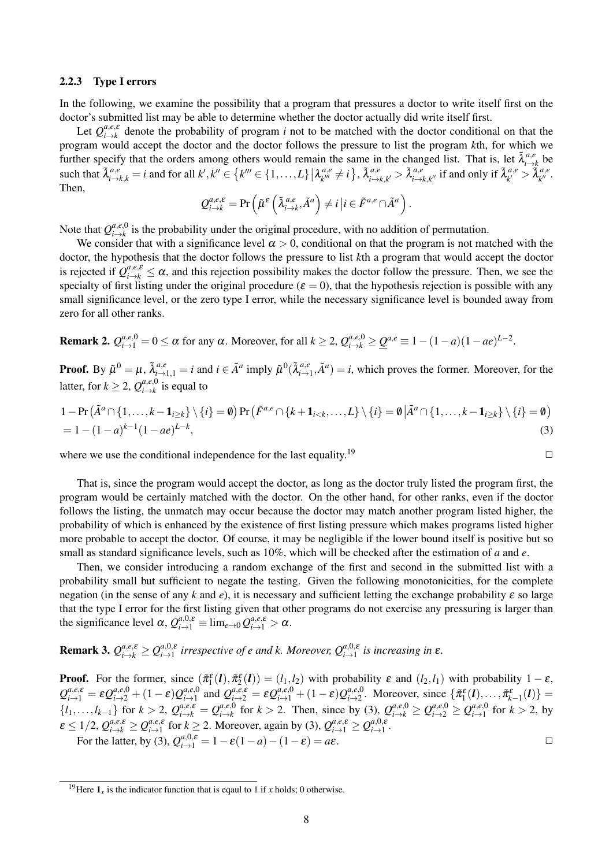#### 2.2.3 Type I errors

In the following, we examine the possibility that a program that pressures a doctor to write itself first on the doctor's submitted list may be able to determine whether the doctor actually did write itself first.

Let  $Q_{i\to k}^{a,e,\varepsilon}$  $i \rightarrow k$  denote the probability of program *i* not to be matched with the doctor conditional on that the program would accept the doctor and the doctor follows the pressure to list the program *k*th, for which we further specify that the orders among others would remain the same in the changed list. That is, let  $\tilde{\lambda}^{a,\epsilon}_{i\to i}$  $\stackrel{a,e}{\scriptstyle i\rightarrow k}$  be such that  $\tilde{\lambda}_{i\to k,k}^{a,e}=i$  and for all  $k',k''\in\{k'''\in\{1,\ldots,L\}\,\big|\lambda_{k'''}^{a,e}$  $a,e \nvert k^m \neq i \nbrace$ ,  $\tilde{\lambda}^{a,e}_{i \rightarrow j}$  $\tilde{a}_{i\rightarrow k,k'}^{a,e} > \tilde{\lambda}_{i\rightarrow k}^{a,e}$  $a,e_{i\rightarrow k,k''}$  if and only if  $\tilde{\lambda}_{k'}^{a,e}$  $a,e \n\widetilde{\lambda}_{k^{\prime\prime}}^{a,e}$ *k ′′* . Then,

$$
Q_{i\to k}^{a,e,\varepsilon} = \Pr\left(\tilde{\mu}^{\varepsilon}\left(\tilde{\lambda}_{i\to k}^{a,e}, \tilde{A}^{a}\right) \neq i \,\big| i \in \tilde{F}^{a,e} \cap \tilde{A}^{a}\right).
$$

Note that  $Q_{i\rightarrow k}^{a,e,0}$  $\mu_{i\to k}^{a,e,\upsilon}$  is the probability under the original procedure, with no addition of permutation.

We consider that with a significance level  $\alpha > 0$ , conditional on that the program is not matched with the doctor, the hypothesis that the doctor follows the pressure to list *k*th a program that would accept the doctor is rejected if  $Q_{i\to k}^{a,e,\varepsilon} \leq \alpha$ , and this rejection possibility makes the doctor follow the pressure. Then, we see the specialty of first listing under the original procedure ( $\varepsilon = 0$ ), that the hypothesis rejection is possible with any small significance level, or the zero type I error, while the necessary significance level is bounded away from zero for all other ranks.

**Remark 2.**  $Q_{i\to 1}^{a,e,0} = 0 \le \alpha$  for any  $\alpha$ . Moreover, for all  $k \ge 2$ ,  $Q_{i\to k}^{a,e,0} \ge \underline{Q}^{a,e} \equiv 1 - (1 - a)(1 - ae)^{L-2}$ .

**Proof.** By  $\tilde{\mu}^0 = \mu$ ,  $\tilde{\lambda}_{i \to 1,1}^{a,e} = i$  and  $i \in \tilde{A}^a$  imply  $\tilde{\mu}^0(\tilde{\lambda}_{i \to i}^{a,e})$  $a, e_{i\to 1}$ ,  $\tilde{A}^a$ ) = *i*, which proves the former. Moreover, for the latter, for  $k \geq 2$ ,  $Q_{i\to k}^{a,e,0}$  $\sum_{i \to k}^{a,e,v}$  is equal to

$$
1 - \Pr\left(\tilde{A}^a \cap \{1, ..., k-1_{i \ge k}\} \setminus \{i\} = \emptyset\right) \Pr\left(\tilde{F}^{a,e} \cap \{k+1_{i < k}, ..., L\} \setminus \{i\} = \emptyset \middle| \tilde{A}^a \cap \{1, ..., k-1_{i \ge k}\} \setminus \{i\} = \emptyset\right)
$$
\n
$$
= 1 - (1 - a)^{k-1} (1 - ae)^{L-k},\tag{3}
$$

where we use the conditional independence for the last equality.<sup>19</sup>  $\Box$ 

That is, since the program would accept the doctor, as long as the doctor truly listed the program first, the program would be certainly matched with the doctor. On the other hand, for other ranks, even if the doctor follows the listing, the unmatch may occur because the doctor may match another program listed higher, the probability of which is enhanced by the existence of first listing pressure which makes programs listed higher more probable to accept the doctor. Of course, it may be negligible if the lower bound itself is positive but so small as standard significance levels, such as 10%, which will be checked after the estimation of *a* and *e*.

Then, we consider introducing a random exchange of the first and second in the submitted list with a probability small but sufficient to negate the testing. Given the following monotonicities, for the complete negation (in the sense of any k and  $e$ ), it is necessary and sufficient letting the exchange probability  $\varepsilon$  so large that the type I error for the first listing given that other programs do not exercise any pressuring is larger than the significance level  $\alpha$ ,  $Q_{i\to 1}^{a,0,\varepsilon} \equiv \lim_{e\to 0} Q_{i\to 1}^{a,e,\varepsilon} > \alpha$ .

**Remark 3.** 
$$
Q_{i\to k}^{a,e,\varepsilon} \geq Q_{i\to 1}^{a,0,\varepsilon}
$$
 irrespective of e and k. Moreover,  $Q_{i\to 1}^{a,0,\varepsilon}$  is increasing in  $\varepsilon$ .

**Proof.** For the former, since  $(\tilde{\pi}_1^{\epsilon}(l), \tilde{\pi}_2^{\epsilon}(l)) = (l_1, l_2)$  with probability  $\epsilon$  and  $(l_2, l_1)$  with probability  $1 - \epsilon$ ,  $Q_{i\to1}^{a,e,\mathcal{E}} = \mathcal{E} Q_{i\to2}^{a,e,0} + (1-\mathcal{E})Q_{i\to1}^{a,e,0}$ *a*<sub>*i*</sub>-*h*</sub> and  $Q_{i\to 2}^{a,e,\epsilon} = \epsilon Q_{i\to 1}^{a,e,0} + (1-\epsilon)Q_{i\to 2}^{a,e,0}$  $\{\tilde{\pi}_1^{\epsilon}(\boldsymbol{l}),...,\tilde{\pi}_{k-1}^{\epsilon}(\boldsymbol{l})\}$  =  $\{l_1, \ldots, l_{k-1}\}$  for  $k > 2$ ,  $Q_{i \to k}^{a,e,\varepsilon} = Q_{i \to k}^{a,e,0}$  $_{i\to k}^{a,e,0}$  for  $k > 2$ . Then, since by (3),  $Q_{i\to k}^{a,e,0} \geq Q_{i\to 2}^{a,e,0} \geq Q_{i\to 1}^{a,e,0}$  $\int_{i-1}^{a,e,0}$  for  $k > 2$ , by  $\mathcal{L} \leq 1/2$ ,  $Q_{i\to k}^{a,e,\mathcal{E}} \geq Q_{i\to 1}^{a,e,\mathcal{E}}$ *a*<sub>*i*</sub>-*s*<sub>**f**</sub>  $\in$  *f***or**  $k \ge 2$ . Moreover, again by (3),  $Q_{i \to 1}^{a,e,\varepsilon} \ge Q_{i \to 1}^{a,0,\varepsilon}$  $i\rightarrow 1$  .  $i\rightarrow 1$  . For the latter, by (3),  $Q_{i\to 1}^{a,0,\varepsilon} = 1 - \varepsilon(1-a) - (1-\varepsilon) = a\varepsilon$ .

<sup>&</sup>lt;sup>19</sup>Here  $\mathbf{1}_r$  is the indicator function that is eqaul to 1 if *x* holds; 0 otherwise.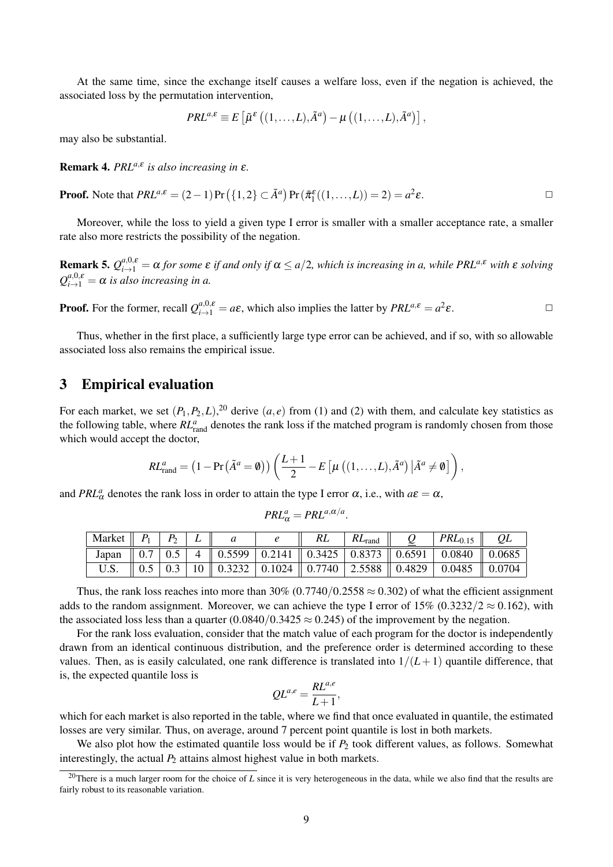At the same time, since the exchange itself causes a welfare loss, even if the negation is achieved, the associated loss by the permutation intervention,

$$
PRL^{a,\varepsilon} \equiv E\left[\tilde{\mu}^{\varepsilon}\left((1,\ldots,L),\tilde{A}^{a}\right) - \mu\left((1,\ldots,L),\tilde{A}^{a}\right)\right],
$$

may also be substantial.

Remark 4. *PRLa,*<sup>ε</sup> *is also increasing in* <sup>ε</sup>*.*

**Proof.** Note that  $PRL^{a,\varepsilon} = (2-1) \Pr \left( \{1,2\} \subset \tilde{A}^a \right) \Pr \left( \tilde{\pi}_1^{\varepsilon}((1,\ldots,L)) = 2 \right) = a^2$  $\epsilon$ .  $\Box$ 

Moreover, while the loss to yield a given type I error is smaller with a smaller acceptance rate, a smaller rate also more restricts the possibility of the negation.

**Remark 5.**  $Q_{i\to 1}^{a,0,\varepsilon} = \alpha$  for some  $\varepsilon$  if and only if  $\alpha \le a/2$ , which is increasing in a, while PRL<sup>a, $\varepsilon$ </sup> with  $\varepsilon$  solving  $Q_{i\rightarrow1}^{a,0,\varepsilon} = \alpha$  *is also increasing in a.* 

**Proof.** For the former, recall  $Q_{i\to 1}^{a,0,\varepsilon} = a\varepsilon$ , which also implies the latter by  $PRL^{a,\varepsilon} = a^2$  $\epsilon$ .  $\Box$ 

Thus, whether in the first place, a sufficiently large type error can be achieved, and if so, with so allowable associated loss also remains the empirical issue.

## 3 Empirical evaluation

For each market, we set  $(P_1, P_2, L)$ , <sup>20</sup> derive  $(a, e)$  from (1) and (2) with them, and calculate key statistics as the following table, where  $RL_{rand}^a$  denotes the rank loss if the matched program is randomly chosen from those which would accept the doctor,

$$
RL_{\text{rand}}^{a} = (1 - \Pr(\tilde{A}^{a} = \emptyset)) \left( \frac{L+1}{2} - E\left[\mu\left((1, \ldots, L), \tilde{A}^{a}\right) | \tilde{A}^{a} \neq \emptyset\right] \right),
$$

and *PRL*<sup>*a*</sup><sub> $\alpha$ </sub> denotes the rank loss in order to attain the type I error  $\alpha$ , i.e., with  $a\epsilon = \alpha$ ,

$$
PRL_{\alpha}^{a} = PRL^{a,\alpha/a}.
$$

| Market | $P_{2}$ |  |  | $KL$ <sub>rand</sub> | $PRL_{0.15}$                                                                                                                                                                                    |  |
|--------|---------|--|--|----------------------|-------------------------------------------------------------------------------------------------------------------------------------------------------------------------------------------------|--|
|        |         |  |  |                      | Japan $\parallel$ 0.7   0.5   4 $\parallel$ 0.5599   0.2141 $\parallel$ 0.3425   0.8373 $\parallel$ 0.6591   0.0840 $\parallel$ 0.0685                                                          |  |
|        |         |  |  |                      | $\parallel$ 0.5 $\parallel$ 0.3 $\parallel$ 10 $\parallel$ 0.3232 $\parallel$ 0.1024 $\parallel$ 0.7740 $\parallel$ 2.5588 $\parallel$ 0.4829 $\parallel$ 0.0485 $\parallel$ 0.0704 $\parallel$ |  |

Thus, the rank loss reaches into more than 30% (0.7740/0.2558  $\approx$  0.302) of what the efficient assignment adds to the random assignment. Moreover, we can achieve the type I error of  $15\%$  (0.3232/2  $\approx$  0.162), with the associated loss less than a quarter  $(0.0840/0.3425 \approx 0.245)$  of the improvement by the negation.

For the rank loss evaluation, consider that the match value of each program for the doctor is independently drawn from an identical continuous distribution, and the preference order is determined according to these values. Then, as is easily calculated, one rank difference is translated into  $1/(L+1)$  quantile difference, that is, the expected quantile loss is

$$
QL^{a,e} = \frac{RL^{a,e}}{L+1},
$$

which for each market is also reported in the table, where we find that once evaluated in quantile, the estimated losses are very similar. Thus, on average, around 7 percent point quantile is lost in both markets.

We also plot how the estimated quantile loss would be if  $P_2$  took different values, as follows. Somewhat interestingly, the actual  $P_2$  attains almost highest value in both markets.

<sup>&</sup>lt;sup>20</sup>There is a much larger room for the choice of *L* since it is very heterogeneous in the data, while we also find that the results are fairly robust to its reasonable variation.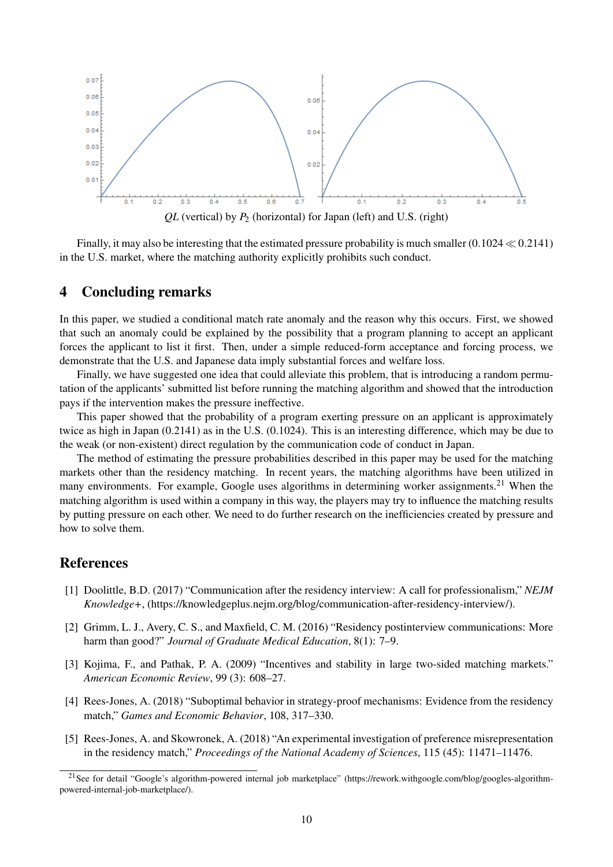

Finally, it may also be interesting that the estimated pressure probability is much smaller (0*.*1024 *≪* 0*.*2141) in the U.S. market, where the matching authority explicitly prohibits such conduct.

## 4 Concluding remarks

In this paper, we studied a conditional match rate anomaly and the reason why this occurs. First, we showed that such an anomaly could be explained by the possibility that a program planning to accept an applicant forces the applicant to list it first. Then, under a simple reduced-form acceptance and forcing process, we demonstrate that the U.S. and Japanese data imply substantial forces and welfare loss.

Finally, we have suggested one idea that could alleviate this problem, that is introducing a random permutation of the applicants' submitted list before running the matching algorithm and showed that the introduction pays if the intervention makes the pressure ineffective.

This paper showed that the probability of a program exerting pressure on an applicant is approximately twice as high in Japan (0.2141) as in the U.S. (0.1024). This is an interesting difference, which may be due to the weak (or non-existent) direct regulation by the communication code of conduct in Japan.

The method of estimating the pressure probabilities described in this paper may be used for the matching markets other than the residency matching. In recent years, the matching algorithms have been utilized in many environments. For example, Google uses algorithms in determining worker assignments.<sup>21</sup> When the matching algorithm is used within a company in this way, the players may try to influence the matching results by putting pressure on each other. We need to do further research on the inefficiencies created by pressure and how to solve them.

## References

- [1] Doolittle, B.D. (2017) "Communication after the residency interview: A call for professionalism," *NEJM Knowledge+*, (https://knowledgeplus.nejm.org/blog/communication-after-residency-interview/).
- [2] Grimm, L. J., Avery, C. S., and Maxfield, C. M. (2016) "Residency postinterview communications: More harm than good?" *Journal of Graduate Medical Education*, 8(1): 7–9.
- [3] Kojima, F., and Pathak, P. A. (2009) "Incentives and stability in large two-sided matching markets." *American Economic Review*, 99 (3): 608–27.
- [4] Rees-Jones, A. (2018) "Suboptimal behavior in strategy-proof mechanisms: Evidence from the residency match," *Games and Economic Behavior*, 108, 317–330.
- [5] Rees-Jones, A. and Skowronek, A. (2018) "An experimental investigation of preference misrepresentation in the residency match," *Proceedings of the National Academy of Sciences*, 115 (45): 11471–11476.

<sup>&</sup>lt;sup>21</sup>See for detail "Google's algorithm-powered internal job marketplace" (https://rework.withgoogle.com/blog/googles-algorithmpowered-internal-job-marketplace/).